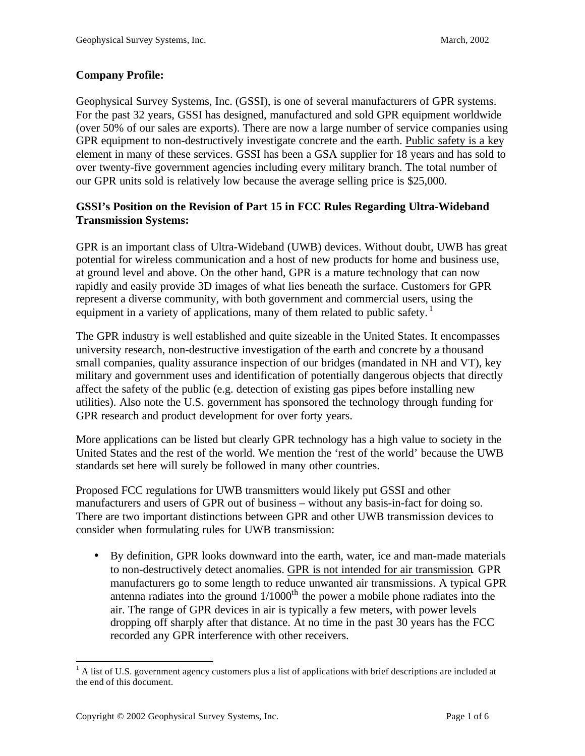## **Company Profile:**

Geophysical Survey Systems, Inc. (GSSI), is one of several manufacturers of GPR systems. For the past 32 years, GSSI has designed, manufactured and sold GPR equipment worldwide (over 50% of our sales are exports). There are now a large number of service companies using GPR equipment to non-destructively investigate concrete and the earth. Public safety is a key element in many of these services. GSSI has been a GSA supplier for 18 years and has sold to over twenty-five government agencies including every military branch. The total number of our GPR units sold is relatively low because the average selling price is \$25,000.

# **GSSI's Position on the Revision of Part 15 in FCC Rules Regarding Ultra-Wideband Transmission Systems:**

GPR is an important class of Ultra-Wideband (UWB) devices. Without doubt, UWB has great potential for wireless communication and a host of new products for home and business use, at ground level and above. On the other hand, GPR is a mature technology that can now rapidly and easily provide 3D images of what lies beneath the surface. Customers for GPR represent a diverse community, with both government and commercial users, using the equipment in a variety of applications, many of them related to public safety.<sup>1</sup>

The GPR industry is well established and quite sizeable in the United States. It encompasses university research, non-destructive investigation of the earth and concrete by a thousand small companies, quality assurance inspection of our bridges (mandated in NH and VT), key military and government uses and identification of potentially dangerous objects that directly affect the safety of the public (e.g. detection of existing gas pipes before installing new utilities). Also note the U.S. government has sponsored the technology through funding for GPR research and product development for over forty years.

More applications can be listed but clearly GPR technology has a high value to society in the United States and the rest of the world. We mention the 'rest of the world' because the UWB standards set here will surely be followed in many other countries.

Proposed FCC regulations for UWB transmitters would likely put GSSI and other manufacturers and users of GPR out of business – without any basis-in-fact for doing so. There are two important distinctions between GPR and other UWB transmission devices to consider when formulating rules for UWB transmission:

• By definition, GPR looks downward into the earth, water, ice and man-made materials to non-destructively detect anomalies. GPR is not intended for air transmission. GPR manufacturers go to some length to reduce unwanted air transmissions. A typical GPR antenna radiates into the ground  $1/1000<sup>th</sup>$  the power a mobile phone radiates into the air. The range of GPR devices in air is typically a few meters, with power levels dropping off sharply after that distance. At no time in the past 30 years has the FCC recorded any GPR interference with other receivers.

<sup>&</sup>lt;sup>1</sup> A list of U.S. government agency customers plus a list of applications with brief descriptions are included at the end of this document.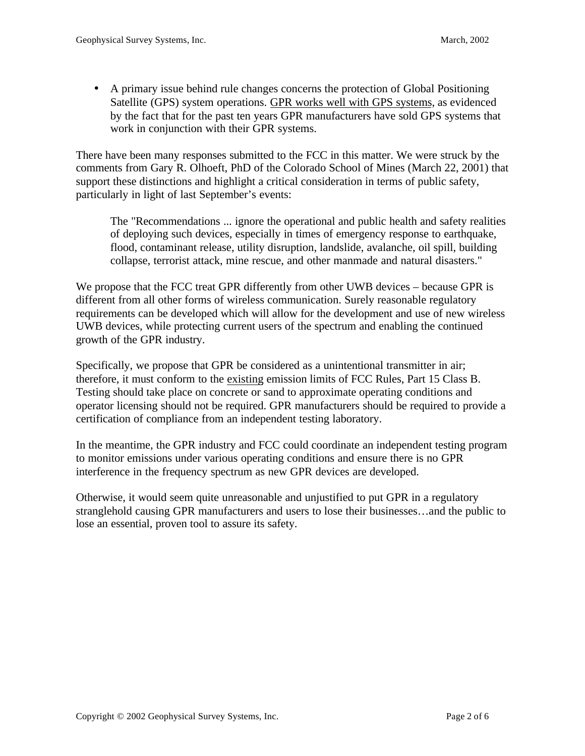• A primary issue behind rule changes concerns the protection of Global Positioning Satellite (GPS) system operations. GPR works well with GPS systems, as evidenced by the fact that for the past ten years GPR manufacturers have sold GPS systems that work in conjunction with their GPR systems.

There have been many responses submitted to the FCC in this matter. We were struck by the comments from Gary R. Olhoeft, PhD of the Colorado School of Mines (March 22, 2001) that support these distinctions and highlight a critical consideration in terms of public safety, particularly in light of last September's events:

The "Recommendations ... ignore the operational and public health and safety realities of deploying such devices, especially in times of emergency response to earthquake, flood, contaminant release, utility disruption, landslide, avalanche, oil spill, building collapse, terrorist attack, mine rescue, and other manmade and natural disasters."

We propose that the FCC treat GPR differently from other UWB devices – because GPR is different from all other forms of wireless communication. Surely reasonable regulatory requirements can be developed which will allow for the development and use of new wireless UWB devices, while protecting current users of the spectrum and enabling the continued growth of the GPR industry.

Specifically, we propose that GPR be considered as a unintentional transmitter in air; therefore, it must conform to the existing emission limits of FCC Rules, Part 15 Class B. Testing should take place on concrete or sand to approximate operating conditions and operator licensing should not be required. GPR manufacturers should be required to provide a certification of compliance from an independent testing laboratory.

In the meantime, the GPR industry and FCC could coordinate an independent testing program to monitor emissions under various operating conditions and ensure there is no GPR interference in the frequency spectrum as new GPR devices are developed.

Otherwise, it would seem quite unreasonable and unjustified to put GPR in a regulatory stranglehold causing GPR manufacturers and users to lose their businesses…and the public to lose an essential, proven tool to assure its safety.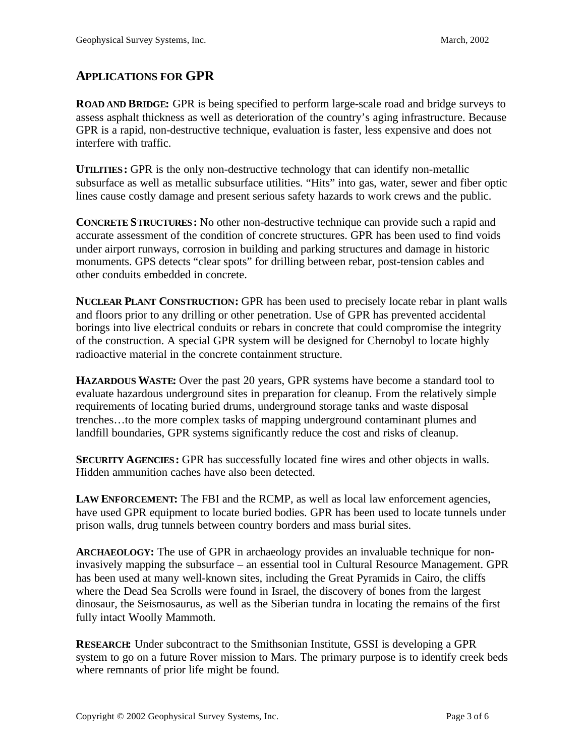# **APPLICATIONS FOR GPR**

**ROAD AND BRIDGE:** GPR is being specified to perform large-scale road and bridge surveys to assess asphalt thickness as well as deterioration of the country's aging infrastructure. Because GPR is a rapid, non-destructive technique, evaluation is faster, less expensive and does not interfere with traffic.

**UTILITIES:** GPR is the only non-destructive technology that can identify non-metallic subsurface as well as metallic subsurface utilities. "Hits" into gas, water, sewer and fiber optic lines cause costly damage and present serious safety hazards to work crews and the public.

**CONCRETE STRUCTURES:** No other non-destructive technique can provide such a rapid and accurate assessment of the condition of concrete structures. GPR has been used to find voids under airport runways, corrosion in building and parking structures and damage in historic monuments. GPS detects "clear spots" for drilling between rebar, post-tension cables and other conduits embedded in concrete.

**NUCLEAR PLANT CONSTRUCTION:** GPR has been used to precisely locate rebar in plant walls and floors prior to any drilling or other penetration. Use of GPR has prevented accidental borings into live electrical conduits or rebars in concrete that could compromise the integrity of the construction. A special GPR system will be designed for Chernobyl to locate highly radioactive material in the concrete containment structure.

**HAZARDOUS WASTE:** Over the past 20 years, GPR systems have become a standard tool to evaluate hazardous underground sites in preparation for cleanup. From the relatively simple requirements of locating buried drums, underground storage tanks and waste disposal trenches…to the more complex tasks of mapping underground contaminant plumes and landfill boundaries, GPR systems significantly reduce the cost and risks of cleanup.

**SECURITY AGENCIES:** GPR has successfully located fine wires and other objects in walls. Hidden ammunition caches have also been detected.

**LAW ENFORCEMENT:** The FBI and the RCMP, as well as local law enforcement agencies, have used GPR equipment to locate buried bodies. GPR has been used to locate tunnels under prison walls, drug tunnels between country borders and mass burial sites.

**ARCHAEOLOGY:** The use of GPR in archaeology provides an invaluable technique for noninvasively mapping the subsurface – an essential tool in Cultural Resource Management. GPR has been used at many well-known sites, including the Great Pyramids in Cairo, the cliffs where the Dead Sea Scrolls were found in Israel, the discovery of bones from the largest dinosaur, the Seismosaurus, as well as the Siberian tundra in locating the remains of the first fully intact Woolly Mammoth.

**RESEARCH:** Under subcontract to the Smithsonian Institute, GSSI is developing a GPR system to go on a future Rover mission to Mars. The primary purpose is to identify creek beds where remnants of prior life might be found.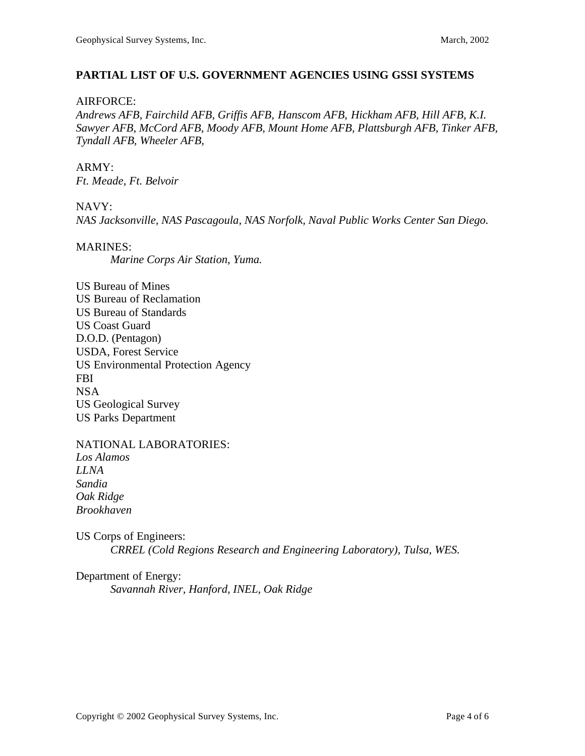### **PARTIAL LIST OF U.S. GOVERNMENT AGENCIES USING GSSI SYSTEMS**

### AIRFORCE:

*Andrews AFB, Fairchild AFB, Griffis AFB, Hanscom AFB, Hickham AFB, Hill AFB, K.I. Sawyer AFB, McCord AFB, Moody AFB, Mount Home AFB, Plattsburgh AFB, Tinker AFB, Tyndall AFB, Wheeler AFB,*

# ARMY:

*Ft. Meade, Ft. Belvoir*

### NAVY:

*NAS Jacksonville, NAS Pascagoula, NAS Norfolk, Naval Public Works Center San Diego.*

### MARINES:

*Marine Corps Air Station, Yuma.*

US Bureau of Mines US Bureau of Reclamation US Bureau of Standards US Coast Guard D.O.D. (Pentagon) USDA, Forest Service US Environmental Protection Agency FBI NSA US Geological Survey US Parks Department

NATIONAL LABORATORIES: *Los Alamos LLNA Sandia Oak Ridge Brookhaven*

US Corps of Engineers: *CRREL (Cold Regions Research and Engineering Laboratory), Tulsa, WES.*

Department of Energy: *Savannah River, Hanford, INEL, Oak Ridge*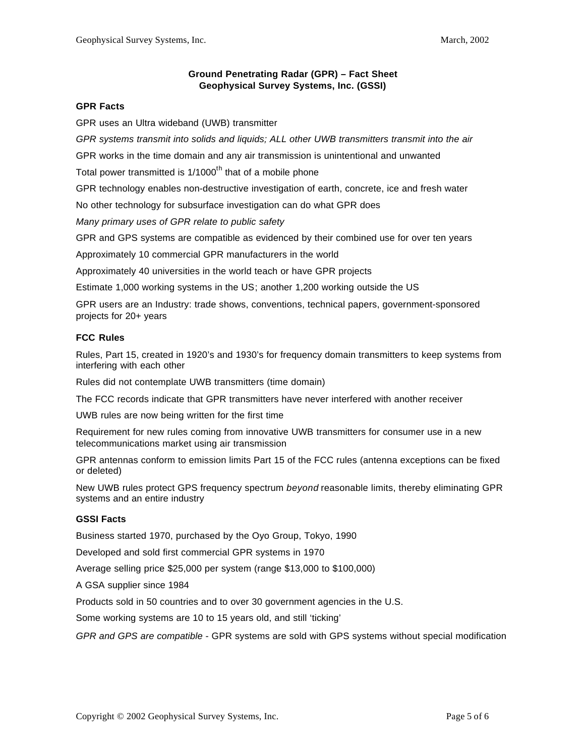#### **Ground Penetrating Radar (GPR) – Fact Sheet Geophysical Survey Systems, Inc. (GSSI)**

#### **GPR Facts**

GPR uses an Ultra wideband (UWB) transmitter

*GPR systems transmit into solids and liquids; ALL other UWB transmitters transmit into the air*

GPR works in the time domain and any air transmission is unintentional and unwanted

Total power transmitted is  $1/1000<sup>th</sup>$  that of a mobile phone

GPR technology enables non-destructive investigation of earth, concrete, ice and fresh water

No other technology for subsurface investigation can do what GPR does

*Many primary uses of GPR relate to public safety*

GPR and GPS systems are compatible as evidenced by their combined use for over ten years

Approximately 10 commercial GPR manufacturers in the world

Approximately 40 universities in the world teach or have GPR projects

Estimate 1,000 working systems in the US; another 1,200 working outside the US

GPR users are an Industry: trade shows, conventions, technical papers, government-sponsored projects for 20+ years

#### **FCC Rules**

Rules, Part 15, created in 1920's and 1930's for frequency domain transmitters to keep systems from interfering with each other

Rules did not contemplate UWB transmitters (time domain)

The FCC records indicate that GPR transmitters have never interfered with another receiver

UWB rules are now being written for the first time

Requirement for new rules coming from innovative UWB transmitters for consumer use in a new telecommunications market using air transmission

GPR antennas conform to emission limits Part 15 of the FCC rules (antenna exceptions can be fixed or deleted)

New UWB rules protect GPS frequency spectrum *beyond* reasonable limits, thereby eliminating GPR systems and an entire industry

#### **GSSI Facts**

Business started 1970, purchased by the Oyo Group, Tokyo, 1990

Developed and sold first commercial GPR systems in 1970

Average selling price \$25,000 per system (range \$13,000 to \$100,000)

A GSA supplier since 1984

Products sold in 50 countries and to over 30 government agencies in the U.S.

Some working systems are 10 to 15 years old, and still 'ticking'

*GPR and GPS are compatible* - GPR systems are sold with GPS systems without special modification